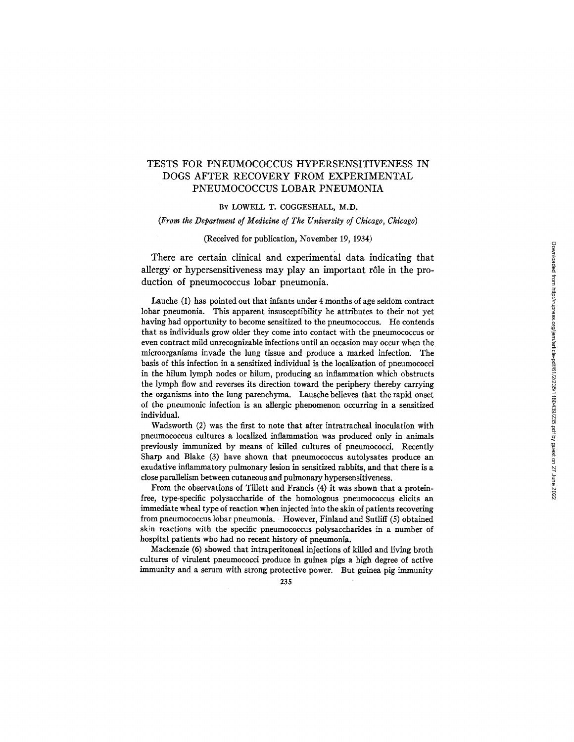# TESTS FOR PNEUMOCOCCUS HYPERSENSITIVENESS IN DOGS AFTER RECOVERY FROM EXPERIMENTAL PNEUMOCOCCUS LOBAR PNEUMONIA

## BY LOWELL T. COGGESHALL, M.D.

#### *(From the Department of Medicine of The University of Chicago, Chicago)*

#### (Received for publication, November 19, 1934)

There are certain clinical and experimental data indicating that allergy or hypersensitiveness may play an important r61e in the production of pneumococcus lobar pneumonia.

Lauche (1) has pointed out that infants under 4 months of age seldom contract lobar pneumonia. This apparent insusceptibility he attributes to their not yet having had opportunity to become sensitized to the pneumococcus. He contends that as individuals grow older they come into contact with the pneumococcus or even contract mild unrecognizable infections until an occasion may occur when the microorganisms invade the lung tissue and produce a marked infection. The basis of this infection in a sensitized individual is the localization of pneumococci in the hilum lymph nodes or hilum, producing an inflammation which obstructs the lymph flow and reverses its direction toward the periphery thereby carrying the organisms into the lung parenchyma. Lausche believes that the rapid onset of the pneumonic infection is an allergic phenomenon occurring in a sensitized individual.

Wadsworth (2) was the first to note that after intratracheal inoculation with pneumococcus cultures a localized inflammation was produced only in animals previously immunized by means of killed cultures of pneumococci. Recently Sharp and Blake (3) have shown that pneumococcus autolysates produce an exudative inflammatory pulmonary lesion in sensitized rabbits, and that there is a close parallelism between cutaneous and pulmonary hypersensifiveness.

From the observations of Tillett and Francis (4) it was shown that a proteinfree, type-specific polysaccharide of the homologous pneumococcus elicits an immediate wheal type of reaction when injected into the skin of patients recovering from pneumococcus lobar pneumonia. However, Finland and Sutliff (5) obtained skin reactions with the specific pneumococcus polysaccharides in a number of hospital patients who had no recent history of pneumonia.

Mackenzie (6) showed that intraperitoneal injections of killed and living broth cultures of virulent pneumococci produce in guinea pigs a high degree of active immunity and a serum with strong protective power. But guinea pig immunity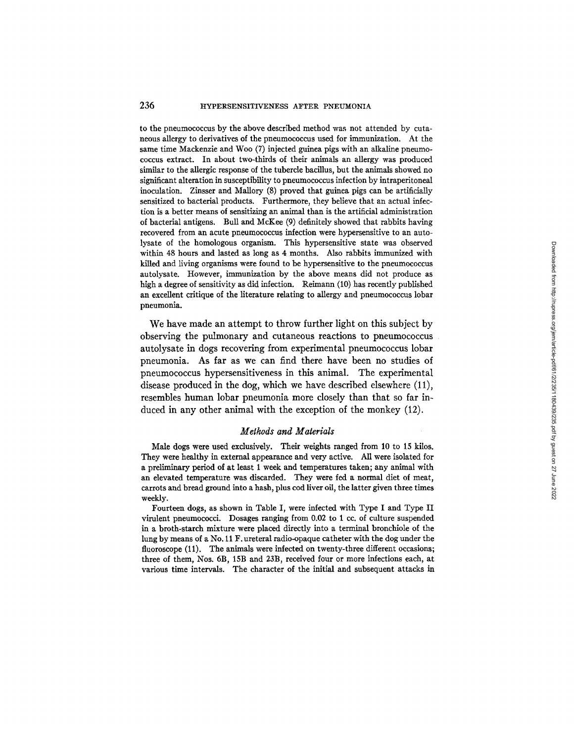## 236 **HYPERSENSITIVENESS AFTER PNEUMONIA**

to the pneumococcus by the above described method was not attended by cutaneous allergy to derivatives of the pneumococcus used for immunization. At the same time Mackenzie and Woo (7) injected guinea pigs with an alkaline pneumococcus extract. In about two-thirds of their animals an allergy was produced similar to the allergic response of the tubercle bacillus, but the animals showed no significant alteration in susceptibility to pneumococcus infection by intraperitoneal inoculation. Zinsser and Mallory (8) proved that guinea pigs can be artificially sensitized to bacterial products. Furthermore, they believe that an actual infection is a better means of sensitizing an animal than is the artificial administration of bacterial antigens. Bull and McKee (9) definitely showed that rabbits having recovered from an acute pneumococcus infection were hypersensitive to an autolysate of the homologous organism. This hypersensitive state was observed within 48 hours and lasted as long as 4 months. Also rabbits immunized with killed and living organisms were found to be hypersensitive to the pneumococcus autolysate. However, immunization by the above means did not produce as high a degree of sensitivity as did infection. Reimann (10) has recently published an excellent critique of the literature relating to allergy and pneumococcus lobar pneumonia.

We have made an attempt to throw further light on this subject by observing the pulmonary and cutaneous reactions to pneumococcus autolysate in dogs recovering from experimental pneumococcus lobar pneumonia. As far as we can find there have been no studies of pneumococcus hypersensitiveness in this animal. The experimental disease produced in the dog, which we have described elsewhere (11), resembles human lobar pneumonia more closely than that so far induced in any other animal with the exception of the monkey (12).

#### *Methods and Materials*

Male dogs were used exclusively. Their weights ranged from 10 to 15 kilos. They were healthy in external appearance and very active. All were isolated for a preliminary period of at least 1 week and temperatures taken; any animal with an elevated temperature was discarded. They were fed a normal diet of meat, carrots and bread ground into a hash, plus cod liver oil, the latter given three times weekly.

Fourteen dogs, as shown in Table I, were infected with Type I and Type II virulent pneumococci. Dosages ranging from 0.02 to 1 ce. of culture suspended in a broth-starch mixture were placed directly into a terminal bronchiole of the lung by means of a No. 11 F. ureteral radio-opaque catheter with the dog under the fluoroscope (11). The animals were infected on twenty-three different occasions; three of them, Nos. 5B, 15B and 23B, received four or more infections each, at various time intervals. The character of the initial and subsequent attacks in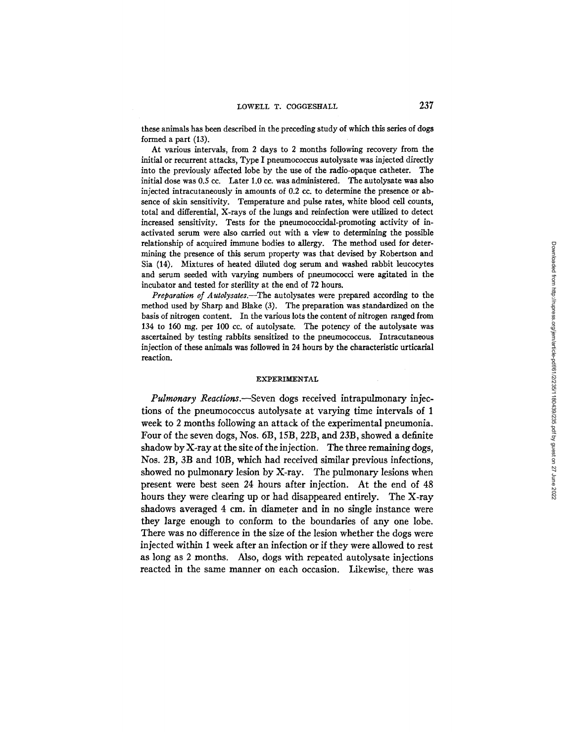these animals has been described in the preceding study of which this series of dogs formed a part (13).

At various intervals, from 2 days to 2 months following recovery from the initial or recurrent attacks, Type I pneumococcus autolysate was injected directly into the previously affected lobe by the use of the radio-opaque catheter. The initial dose was 0.5 cc. Later 1.0 cc. was administered. The autolysate was also injected intracutaneously in amounts of 0.2 cc. to determine the presence or absence of skin sensitivity. Temperature and pulse rates, white blood cell counts, total and differential, X-rays of the lungs and reinfection were utilized to detect increased sensitivity. Tests for the pneumococcidal-promoting activity of inactivated serum were also carried out with a view to determining the possible relationship of acquired immune bodies to allergy. The method used for determining the presence of this serum property was that devised by Robertson and Sia (14). Mixtures of heated diluted dog serum and washed rabbit leucocytes and serum seeded with varying numbers of pneumococci were agitated in the incubator and tested for sterility at the end of 72 hours.

*Preparation of Autolysates.*--The autolysates were prepared according to the method used by Sharp and Blake (3). The preparation was standardized on the basis of nitrogen content. In the various lots the content of nitrogen ranged from 134 to 160 mg. per 100 cc. of autolysate. The potency of the autolysate was ascertained by testing rabbits sensitized to the pneumococcus. Intracutaneous injection of these animals was followed in 24 hours by the characteristic urticarial reaction.

#### EXPERIMENTAL

*Pulmonary Reactions.*—Seven dogs received intrapulmonary injections of the pneumococcus autolysate at varying time intervals of 1 week to 2 months following an attack of the experimental pneumonia. Four of the seven dogs, Nos. 6B, 15B, 22B, and 23B, showed a definite shadow by  $X$ -ray at the site of the injection. The three remaining dogs, Nos. 2B, 3B and 10B, which had received similar previous infections, showed no pulmonary lesion by X-ray. The pulmonary lesions when present were best seen 24 hours after injection. At the end of 48 hours they were clearing up or had disappeared entirely. The X-ray shadows averaged 4 cm. in diameter and in no single instance were they large enough to conform to the boundaries of any one lobe. There was no difference in the size of the lesion whether the dogs were injected within 1 week after an infection or if they were allowed to rest as long as 2 months. Also, dogs with repeated autolysate injections reacted in the same manner on each occasion. Likewise, there was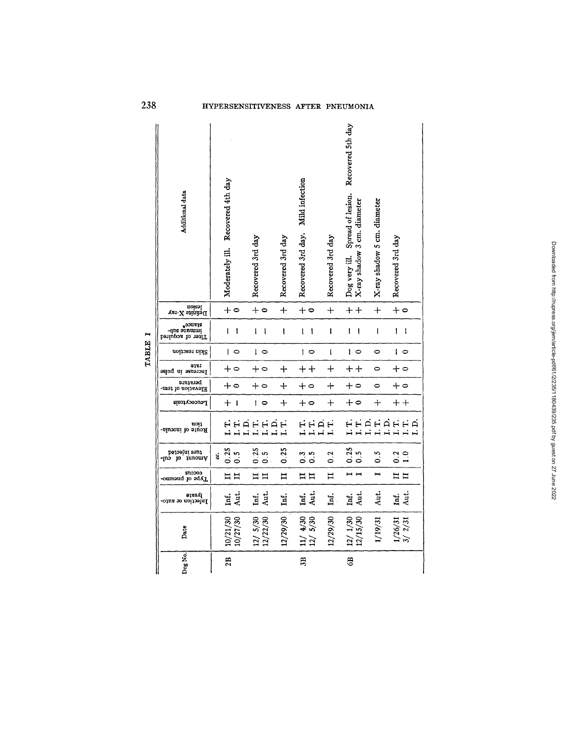| Additional data                                         |   | Moderately ill. Recovered 4th day |                  |                   | Recovered 3rd day        |          | Recovered 3rd day | Mild infection<br>Recovered 3rd day. |                                | Recovered 3rd day | Recovered 5th day<br>Dog very ill. Spread of lesion. | X-ray shadow 3 cm. diameter                | X-ray shadow 5 cm. diameter | Recovered 3rd day |         |  |
|---------------------------------------------------------|---|-----------------------------------|------------------|-------------------|--------------------------|----------|-------------------|--------------------------------------|--------------------------------|-------------------|------------------------------------------------------|--------------------------------------------|-----------------------------|-------------------|---------|--|
| Definite X-ray<br>Iosion                                |   | $+$ $\circ$                       |                  |                   | $+$ $\circ$              |          | $+$               | $+$                                  |                                | $\ddot{}$         |                                                      | $+ +$                                      | $^{+}$                      | $+$ $\circ$       |         |  |
| periupos lo teri <sup>r</sup><br>immune sub-<br>stance* |   | I                                 | 1                |                   | ı                        | İ        | ŧ                 | 1                                    | $\mathbf{I}$                   | $\mathbf{I}$      | ſ                                                    | $\mathbf{I}$                               | I                           | T                 | I       |  |
| Skin reaction                                           |   |                                   | 0 ا              |                   | 0                        |          |                   | ہ ا                                  |                                | ł                 |                                                      | ہ ا                                        | 0                           | ہ ا               |         |  |
| 91.61<br>Increase in pulse                              |   | $+$ $\circ$                       |                  |                   | $+ \circ$                |          | $\ddot{+}$        | $\boldsymbol{+}\boldsymbol{+}$       |                                | $+$               |                                                      | $+ +$                                      | 0                           | $+ \circ$         |         |  |
| perature<br>Elevation of tem-                           |   | $+$ $\circ$                       |                  |                   | $+$ $\circ$              |          | $+$               | $+$ 0                                |                                | $\ddag$           |                                                      | $+$ 0                                      | $\circ$                     | $+$ 0             |         |  |
| Leucocytosis                                            |   | $+$                               | $\blacksquare$   |                   | $\overline{\phantom{0}}$ |          | $+$               | $+$ 0                                |                                | $\ddot{}$         |                                                      | $+$ $\circ$                                | $+$                         | $+ +$             |         |  |
| Route of inocula-<br>tion                               |   |                                   |                  | HHAHHHH<br>HHHHHH |                          |          |                   |                                      | HHAH<br>HHHH                   |                   |                                                      |                                            | HHHHHHH<br>HHHHHHH          |                   |         |  |
| ture injected<br>vmonut ot enj-                         | ឳ | 0.25                              | $0.\overline{5}$ |                   | 0.25                     | S<br>ó   | 0.25              | $0.\overline{3}$                     | $\ddot{\circ}$                 | 0.2               |                                                      | $\begin{array}{c} 0.25 \\ 0.5 \end{array}$ | 0.5                         | $0.2$<br>$1.0$    |         |  |
| <b>COCCU3</b><br>Type of pneumo-                        |   | $\Xi$ $\Xi$                       |                  |                   | $\Xi$ $\Xi$              |          | $\mathbf{I}$      | $\Xi$ $\Xi$                          |                                | Π                 |                                                      | $\blacksquare$                             | $\blacksquare$              | $\Xi$             |         |  |
| haate<br>Infection or auto-                             |   | Ħ.                                | Aut.             |                   | Inf.                     | Aut.     | Inf.              | Inf.                                 | Aut.                           | Ħ.                | Inf.                                                 | Aut.                                       | Aut.                        | Inf.              | Aut.    |  |
| Date                                                    |   | 10/21/30                          | 10/27/30         |                   | 12/5/30                  | 12/22/30 | 12/29/30          |                                      | $\frac{11}{12}$ $\frac{4}{30}$ | 12/29/30          | 12/1/30                                              | 12/15/30                                   | 1/19/31                     | 1/26/31           | 3/ 2/31 |  |
| Dog No.                                                 |   | 2B                                |                  |                   |                          |          |                   | 3B                                   |                                |                   | $\overline{6}$                                       |                                            |                             |                   |         |  |

TABLE I

238

## HYPERSENSITIVENESS AFTER PNEUMONIA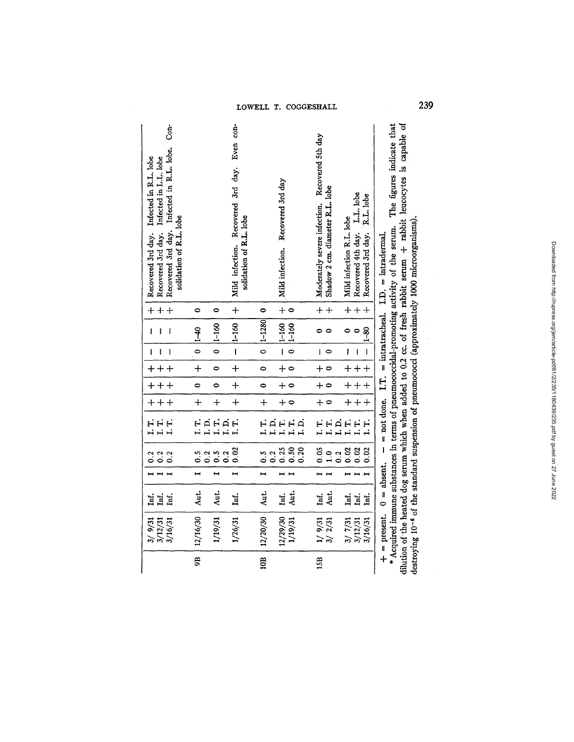| LOWELL T. COGGESHALL | 239 |  |
|----------------------|-----|--|
|----------------------|-----|--|

 $\mathcal{A}^{\mathcal{A}}$ 

| ģ<br>Recovered 3rd day. Infected in R.L. lobe.<br>Infected in R.L. lobe<br>Infected in L.L. lobe<br>solidation of R.L. lobe<br>Recovered 3rd day.<br>Recovered 3rd day. |                |                         | Even con-<br>Mild infection. Recovered 3rd day.<br>solidation of R.L. lobe |                      | Mild infection. Recovered 3rd day                   | Moderately severe infection. Recovered 5th day<br>Shadow 2 cm. diameter R.L. lobe | Recovered 4th day. L.L. lobe<br>R.L. lobe<br>Mild infection R.L. lobe<br>Recovered 3rd day. | * Acquired immune substances in terms of pneumococcidal-promoting activity of the serum. The figures indicate that<br>dilution of the heated dog serum which when added to 0.2 cc. of fresh rabbit serum + rabbit leucocytes is capable of<br>destroying 10 <sup>-6</sup> of the standard suspension of pneumococci (approximately 1000 microorganisms)<br>$-$ not done. I.T. = intratracheal. I.D. = intradermal. |
|-------------------------------------------------------------------------------------------------------------------------------------------------------------------------|----------------|-------------------------|----------------------------------------------------------------------------|----------------------|-----------------------------------------------------|-----------------------------------------------------------------------------------|---------------------------------------------------------------------------------------------|--------------------------------------------------------------------------------------------------------------------------------------------------------------------------------------------------------------------------------------------------------------------------------------------------------------------------------------------------------------------------------------------------------------------|
| $+ +$                                                                                                                                                                   | 0              | 0                       | $+$                                                                        | $\bullet$            | $\ddot{}$<br>$\circ$                                | $+ +$                                                                             | $+ +$<br>$+$                                                                                |                                                                                                                                                                                                                                                                                                                                                                                                                    |
| $\overline{1}$<br>Ī<br>$\mathbf{I}$                                                                                                                                     | $\frac{40}{1}$ | $1 - 160$               | $-11-160$                                                                  | $1 - 1280$           | $1 - 160$<br>$1 - 160$                              |                                                                                   | $-1 - 80$<br>0<br>$\circ$                                                                   |                                                                                                                                                                                                                                                                                                                                                                                                                    |
| L<br>$\mathbf{I}$<br>$\mathbf{I}$                                                                                                                                       | $\circ$        | $\bullet$               |                                                                            | $\circ$              | $\overline{1}$<br>$\bullet$                         | $\overline{1}$ $\bullet$                                                          | t<br>$\mathbf{I}$                                                                           |                                                                                                                                                                                                                                                                                                                                                                                                                    |
| $+ + +$                                                                                                                                                                 | $\ddot{+}$     | $\bullet$               | $\ddot{+}$                                                                 | $\bullet$            | $+$ $\circ$                                         | $+$ $\circ$                                                                       | $+ + +$                                                                                     |                                                                                                                                                                                                                                                                                                                                                                                                                    |
| $+ + +$                                                                                                                                                                 | $\bullet$      | 0                       | $\ddot{+}$                                                                 | $\bullet$            | $+$ 0                                               | $+$ $\circ$                                                                       | $\ddot{\tau}$<br>$\ddot{}$                                                                  |                                                                                                                                                                                                                                                                                                                                                                                                                    |
| $+ + +$                                                                                                                                                                 | $+$            | $\ddot{}$               | $\ddot{}$                                                                  | $\ddot{}$            | $+$ $\circ$                                         | $+$ $\circ$                                                                       | $\ddot{+}$<br>$\ddot{}$                                                                     |                                                                                                                                                                                                                                                                                                                                                                                                                    |
| eee<br>HHH                                                                                                                                                              |                | HHHHH<br>HHHH           |                                                                            |                      | HAHH<br>HHHH<br>I.D.                                | HH<br>HHH                                                                         | HH.<br>Ë                                                                                    |                                                                                                                                                                                                                                                                                                                                                                                                                    |
| $0.2$<br>0.2<br>0.2                                                                                                                                                     | 0.2<br>0.5     | 0.2<br>$0.\overline{5}$ | 0.02                                                                       | $\ddot{0}$ .5<br>0.2 | $\begin{array}{c} 0.55 \\ 0.50 \end{array}$<br>0.20 | 0.05<br>$\ddot{1}$ .0                                                             | 0.02<br>0.02<br>0.02<br>0.2                                                                 |                                                                                                                                                                                                                                                                                                                                                                                                                    |
|                                                                                                                                                                         |                | H,                      | $\blacksquare$                                                             | H                    | $\blacksquare$ $\blacksquare$                       | $\blacksquare$                                                                    | $\blacksquare$                                                                              |                                                                                                                                                                                                                                                                                                                                                                                                                    |
| Ħ.<br>̤Í.                                                                                                                                                               | Aut.           | Aut.                    | Inf.                                                                       | Aut.                 | Aut.<br>Inf.                                        | Aut.<br>Inf.                                                                      | Inf.<br>Inf.<br>Inf.                                                                        |                                                                                                                                                                                                                                                                                                                                                                                                                    |
| 3/9/31<br>3/12/31<br>3/16/31                                                                                                                                            | 12/16/30       | 1/19/31                 | 1/26/31                                                                    | 12/20/30             | 12/29/30<br>1/19/31                                 | 1/9/31<br>3/2/31                                                                  | 3/7/31<br>3/16/31<br>3/12/31                                                                | $+$ = present. $0 =$ absent.                                                                                                                                                                                                                                                                                                                                                                                       |
|                                                                                                                                                                         | g              |                         |                                                                            | 10B                  |                                                     | 15B                                                                               |                                                                                             |                                                                                                                                                                                                                                                                                                                                                                                                                    |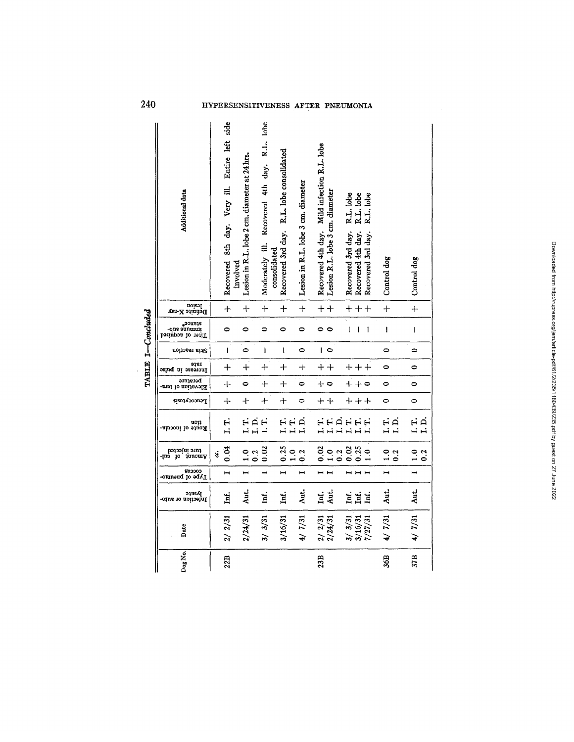## HYPERSENSITIVENESS AFTER PNEUMONIA

| Additional data                             | side<br>Entire left<br>day. Very ill.<br>8th<br>Recovered<br>involved | Lesion in R.L. lobe 2 cm. diameter at 24 hrs. | lobe<br>R.L.<br>Recovered 4th day.<br>Moderately ill.<br>consolidated | Recovered 3rd day. R.L. lobe consolidated | Lesion in R.L. lobe 3 cm. diameter | Recovered 4th day. Mild infection R.L. lobe<br>Lesion R.L. lobe 3 cm. diameter | R.L. lobe<br>R.L. lobe<br>lobe<br>R.L.<br>Recovered 3rd day.<br>Recovered 4th day.<br>Recovered 3rd day. | Control dog             | Control dog         |
|---------------------------------------------|-----------------------------------------------------------------------|-----------------------------------------------|-----------------------------------------------------------------------|-------------------------------------------|------------------------------------|--------------------------------------------------------------------------------|----------------------------------------------------------------------------------------------------------|-------------------------|---------------------|
| Definite X-1ay<br>Indian                    | $+$                                                                   | $+$                                           | $+$                                                                   | $+$                                       | $\dot{+}$                          | $+ +$                                                                          | $++$                                                                                                     | $+$                     | $\ddot{+}$          |
| bəriupəs io rəilT<br>immune sub-<br>*ənasts | $\bullet$                                                             | $\bullet$                                     | 0                                                                     | $\bullet$                                 | $\bullet$                          | 00                                                                             | ţ<br>$\mathbf I$<br>1                                                                                    | $\mathbf{I}$            | I                   |
| Skin reaction                               | $\overline{1}$                                                        | $\bullet$                                     | I                                                                     | ţ                                         | $\bullet$                          | $\overline{1}$ $\circ$                                                         |                                                                                                          | $\bullet$               | 0                   |
| 918I<br>Increase in pulse                   | $+$                                                                   | $^{+}$                                        | $+$                                                                   | $\ddot{}$                                 | ┿                                  | $\boldsymbol{+}\boldsymbol{+}$                                                 | $++$                                                                                                     | 0                       | 0                   |
| perature<br>Elevation of tem-               | $+$                                                                   | 0                                             | $\ddotplus$                                                           | $+$                                       | $\bullet$                          | $+$ $\circ$                                                                    | $++\circ$                                                                                                | $\bullet$               | $\bullet$           |
| Leucocytosis                                | $+$                                                                   | $\ddag$                                       | $\ddot{}$                                                             | $+$                                       | $\bullet$                          | $+ +$                                                                          | $++$                                                                                                     | $\bullet$               | $\bullet$           |
| uoņ<br>Route of inccula-                    | Ë<br>$\ddot{ }$                                                       | HAH<br>HHH                                    | $\overrightarrow{H}$                                                  | ËË<br>$\mathbf{H}$                        | Ä<br>Ĥ                             | Ĥ                                                                              | HHAHHH<br>HHHHH                                                                                          | ΗÁ<br>Ĥ<br>$\mathbf{I}$ | нģ<br>بہ ب          |
| ture injected<br>po nunomy<br>mó            | 0.04<br>Ś.                                                            | $\frac{0}{1}$<br>0.2                          | 0.02                                                                  | 0.25<br>$\frac{0}{1}$                     | 0.2                                | 0.02<br>$1.0$<br>0.2                                                           | 0.25<br>0.02<br>$\frac{0}{1}$                                                                            | 1.0<br>0.2              | $\ddot{ }$ .<br>0.2 |
| ຮາເວວດວ<br>Type of pneumo-                  | щ                                                                     | $\blacksquare$                                | Ī                                                                     | $\blacksquare$                            | $\blacksquare$                     | $\blacksquare$                                                                 | $H$ $H$                                                                                                  | $\blacksquare$          | H                   |
| Jaste<br>Infection or auto-                 | Inf.                                                                  | Aut.                                          | Inf.                                                                  | Ini.                                      | Aut.                               | Aut.<br>Ħ.                                                                     | <b>HH</b>                                                                                                | Aut.                    | Aut.                |
| Date                                        | 2/31                                                                  | 2/24/31                                       | 3/3/31                                                                | 3/16/31                                   | 4/7/31                             | 2/31<br>2/24/31                                                                | 3/3/31<br>3/16/31<br>7/27/31                                                                             | 4/7/31                  | 4/7/31              |
| $\log$ No.                                  | 22B                                                                   |                                               |                                                                       |                                           |                                    | 23B                                                                            |                                                                                                          | 36B                     | 37B                 |

TABLE I-Concluded

240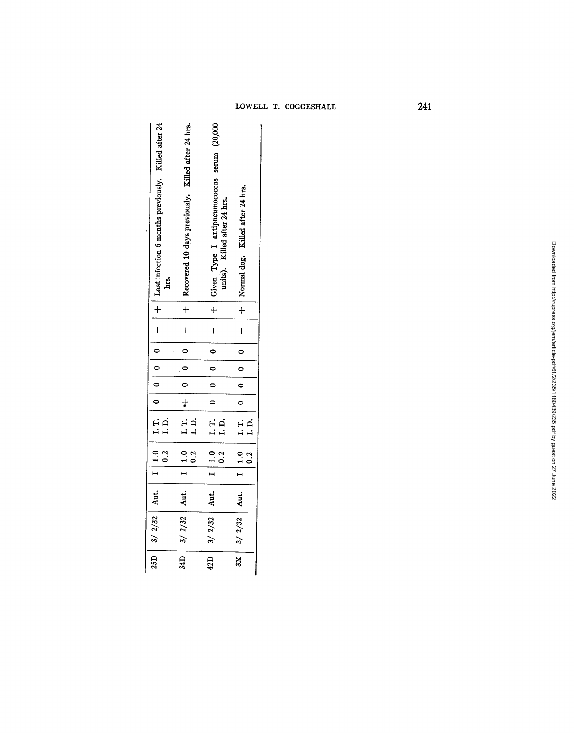|  | LOWELL T. COGGESHALL |
|--|----------------------|
|  |                      |

**241** 

| 25D $\begin{bmatrix} 3/2/32 \\ 4/3 \end{bmatrix}$ Aut. $\begin{bmatrix} 1 & 0 & 1 & 0 \\ 0 & 0 & 0 \\ 0 & 1 & 0 \end{bmatrix}$ 0 $\begin{bmatrix} 0 & 0 & 0 \\ 0 & 0 & 0 \\ 0 & 0 & 0 \end{bmatrix}$ $\begin{bmatrix} -1 & 0 & 0 & 0 \\ 0 & 0 & 0 & 0 \\ 0 & 0 & 0 & 0 \\ 0 & 0 & 0 & 0 \end{bmatrix}$ and after 24<br>$+$ Given Type I antipneumococcus serum $(20,000)$<br>$+$ units). Killed after 24 hrs.<br>$+$   Recovered 10 days previously. Killed after 24 hrs.<br>$  +  $ Normal dog. Killed after 24 hrs.<br>$\overline{\phantom{a}}$<br>$\overline{1}$<br>$\overline{1}$<br>0000000<br>$\begin{array}{c} 0 \\ 0 \end{array}$<br>$\ddot{\bullet}$<br>$3X \begin{array}{ c c c } \hline 3/2/32 & \hbox{Aut.} & I & 1.0 & I.T. & 0 & 0 \\ \hline & 0.2 & I.D. & 0 & 0 \\ \hline \end{array}$<br>$\begin{array}{ c c c c c } \hline \text{I} & \text{I.0} & \text{I.T.} & \text{++} & \text{0} \\ \hline \text{0.2} & \text{I.D.} & & \text{+} & \end{array}$<br>$\begin{array}{c c c c c c c c c} \n42D & 3/2/32 & \text{Aut.} & 1 & 1.0 & 1.7. \ \hline & 0.2 & 1.0. & 1.5. \end{array}$<br>$34D$   $3/2/32$   Aut. |  |  |  |  |  |  |  |
|--------------------------------------------------------------------------------------------------------------------------------------------------------------------------------------------------------------------------------------------------------------------------------------------------------------------------------------------------------------------------------------------------------------------------------------------------------------------------------------------------------------------------------------------------------------------------------------------------------------------------------------------------------------------------------------------------------------------------------------------------------------------------------------------------------------------------------------------------------------------------------------------------------------------------------------------------------------------------------------------------------------------------------------------------------------------------------------------------------------------------------|--|--|--|--|--|--|--|
|                                                                                                                                                                                                                                                                                                                                                                                                                                                                                                                                                                                                                                                                                                                                                                                                                                                                                                                                                                                                                                                                                                                                |  |  |  |  |  |  |  |
|                                                                                                                                                                                                                                                                                                                                                                                                                                                                                                                                                                                                                                                                                                                                                                                                                                                                                                                                                                                                                                                                                                                                |  |  |  |  |  |  |  |
|                                                                                                                                                                                                                                                                                                                                                                                                                                                                                                                                                                                                                                                                                                                                                                                                                                                                                                                                                                                                                                                                                                                                |  |  |  |  |  |  |  |
|                                                                                                                                                                                                                                                                                                                                                                                                                                                                                                                                                                                                                                                                                                                                                                                                                                                                                                                                                                                                                                                                                                                                |  |  |  |  |  |  |  |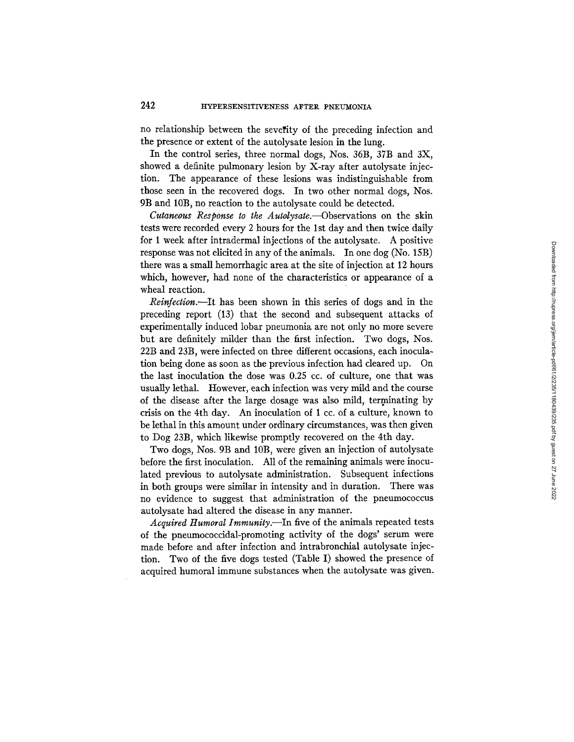no relationship between the severity of the preceding infection and the presence or extent of the autolysate lesion in the lung.

In the control series, three normal dogs, Nos. 36B, 37B and 3X, showed a definite pulmonary lesion by X-ray after autolysate injection. The appearance of these lesions was indistinguishable from those seen in the recovered dogs. In two other normal dogs, Nos. 9B and 10B, no reaction to the autolysate could be detected.

*Cutaneous Response to the Autolysate.--Observations* on the skin tests were recorded every 2 hours for the 1st day and then twice daily for 1 week after intradermal injections of the autolysate. A positive response was not elicited in any of the animals. In one dog (No. 15B) there was a small hemorrhagic area at the site of injection at 12 hours which, however, had none of the characteristics or appearance of a wheal reaction.

*Reinfection.--It* has been shown in this series of dogs and in the preceding report (13) that the second and subsequent attacks of experimentally induced lobar pneumonia are not only no more severe but are definitely milder than the first infection. Two dogs, Nos. 22B and 23B, were infected on three different occasions, each inoculation being done as soon as the previous infection had cleared up. On the last inoculation the dose was 0.25 cc. of culture, one that was usually lethal. However, each infection was very mild and the course of the disease after the large dosage was also mild, terminating by crisis on the 4th day. An inoculation of 1 cc. of a culture, known to be lethal in this amount under ordinary circumstances, was then given to Dog 23B, which likewise promptly recovered on the 4th day.

Two dogs, Nos. 9B and 10B, were given an injection of autolysate before the first inoculation. All of the remaining animals were inoculated previous to autolysate administration. Subsequent infections in both groups were similar in intensity and in duration. There was no evidence to suggest that administration of the pneumococcus autolysate had altered the disease in any manner.

*Acquired Humoral Immunity.--In* five of the animals repeated tests of the pneumococcidal-promoting activity of the dogs' serum were made before and after infection and intrabronchial autolysate injection. Two of the five dogs tested (Table I) showed the presence of acquired humoral immune substances when the autolysate was given.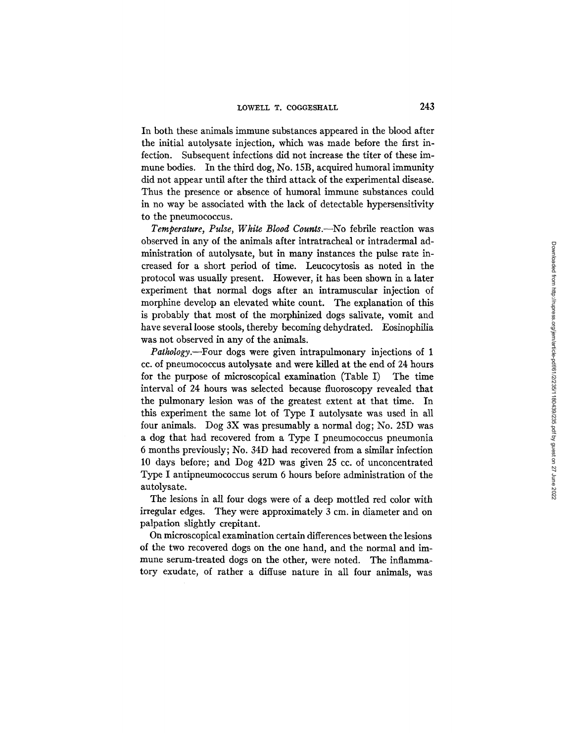In both these animals immune substances appeared in the blood after the initial autolysate injection, which was made before the first infection. Subsequent infections did not increase the titer of these immune bodies. In the third dog, No. 15B, acquired humoral immunity did not appear until after the third attack of the experimental disease. Thus the presence or absence of humoral immune substances could in no way be associated with the lack of detectable hypersensitivity to the pneumococcus.

*Temperature, Pulse, White Blood Counts.--No* febrile reaction was observed in any of the animals after intratracheal or intradermal administration of autolysate, but in many instances the pulse rate increased for a short period of time. Leucocytosis as noted in the protocol was usually present. However, it has been shown in a later experiment that normal dogs after an intramuscular injection of morphine develop an elevated white count. The explanation of this is probably that most of the morphinized dogs salivate, vomit and have several loose stools, thereby becoming dehydrated. Eosinophilia was not observed in any of the animals.

*Pathology.--Four* dogs were given intrapulmonary injections of 1 cc. of pneumococcus autolysate and were killed at the end of 24 hours for the purpose of microscopical examination (Table I) The time interval of 24 hours was selected because fluoroscopy revealed that the pulmonary lesion was of the greatest extent at that time. In this experiment the same lot of Type I autolysate was used in all four animals. Dog 3X was presumably a normal dog; No. 25D was a dog that had recovered from a Type I pneumococcus pneumonia 6 months previously; No. 34D had recovered from a similar infection 10 days before; and Dog 42D was given 25 cc. of unconcentrated Type I antipneumococcus serum 6 hours before administration of the autolysate.

The lesions in all four dogs were of a deep mottled red color with irregular edges. They were approximately 3 cm. in diameter and on palpation slightly crepitant.

On microscopical examination certain differences between the lesions of the two recovered dogs on the one hand, and the normal and immune serum-treated dogs on the other, were noted. The inflammatory exudate, of rather a diffuse nature in all four animals, was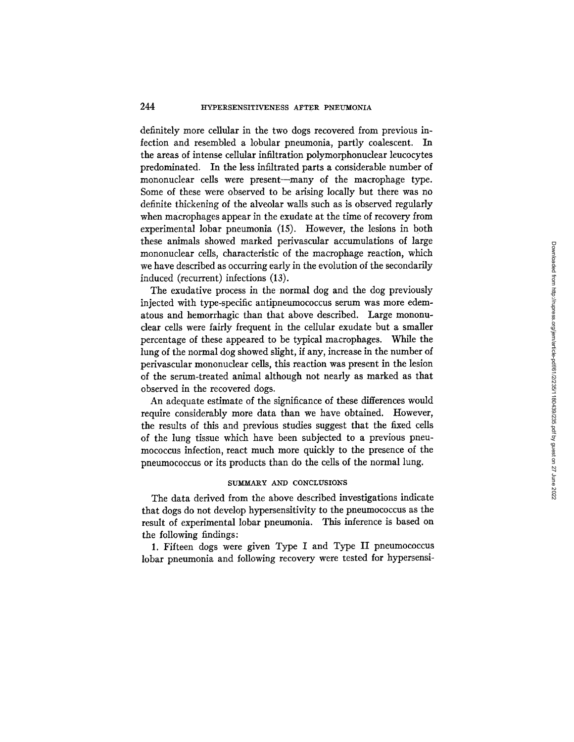### 244 **HYPERSENSITIVENESS AFTER PNEUMONIA**

definitely more cellular in the two dogs recovered from previous infection and resembled a lobular pneumonia, partly coalescent. In the areas of intense cellular infiltration polymorphonuclear leucocytes predominated. In the less infiltrated parts a considerable number of mononuclear cells were present--many of the macrophage type. Some of these were observed to be arising locally but there was no definite thickening of the alveolar walls such as is observed regularly when macrophages appear in the exudate at the time of recovery from experimental lobar pneumonia (15). However, the lesions in both these animals showed marked perivascular accumulations of large mononuclear cells, characteristic of the macrophage reaction, which we have described as occurring early in the evolution of the secondarily induced (recurrent) infections (13).

The exudative process in the normal dog and the dog previously injected with type-specific antipneumococcus serum was more edematous and hemorrhagic than that above described. Large mononuclear cells were fairly frequent in the cellular exudate but a smaller percentage of these appeared to be typical macrophages. While the lung of the normal dog showed slight, if any, increase in the number of perivascular mononuclear cells, this reaction was present in the lesion of the serum-treated animal although not nearly as marked as that observed in the recovered dogs.

An adequate estimate of the significance of these differences would require considerably more data than we have obtained. However, the results of this and previous studies suggest that the fixed ceils of the lung tissue which have been subjected to a previous pneumococcus infection, react much more quickly to the presence of the pneumococcus or its products than do the cells of the normal lung.

#### SUMMARY AND CONCLUSIONS

The data derived from the above described investigations indicate that dogs do not develop hypersensitivity to the pneumococcus as the result of experimental lobar pneumonia. This inference is based on the following findings:

1. Fifteen dogs were given Type I and Type II pneumococcus lobar pneumonia and following recovery were tested for hypersensi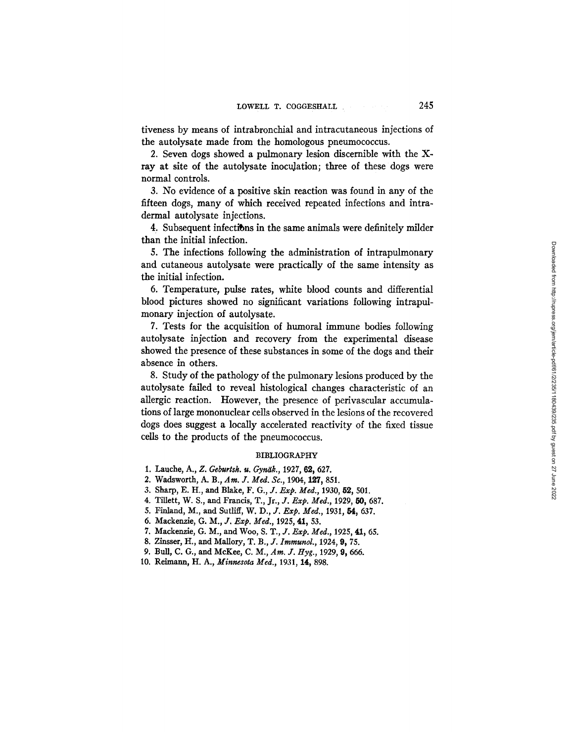tiveness by means of intrabronchial and intracutaneous injections of the autolysate made from the homologous pneumococcus.

2. Seven dogs showed a pulmonary lesion discernible with the Xray at site of the autolysate inoculation; three of these dogs were normal controls.

3. No evidence of a positive skin reaction was found in any of the fifteen dogs, many of which received repeated infections and intradermal autolysate injections.

4. Subsequent infections in the same animals were definitely milder than the initial infection.

5. The infections following the administration of intrapulmonary and cutaneous autolysate were practically of the same intensity as the initial infection.

6. Temperature, pulse rates, white blood counts and differential blood pictures showed no significant variations following intrapulmonary injection of autolysate.

7. Tests for the acquisition of humoral immune bodies following autolysate injection and recovery from the experimental disease showed the presence of these substances in some of the dogs and their absence in others.

8. Study of the pathology of the pulmonary lesions produced by the autolysate failed to reveal histological changes characteristic of an allergic reaction. However, the presence of perivascular accumulations of large mononuclear cells observed in the lesions of the recovered dogs does suggest a locally accelerated reactivity of the fixed tissue cells to the products of the pneumococcus.

#### BIBLIOGRAPHY

- 1. Lauche, A., Z. Geburtsh. u. Gynäk., 1927, 62, 627.
- 2. Wadsworth, A. B., Am. J. Med. Sc., 1904, 127, 851.
- 3. Sharp, E. H., and Blake, F. G., J. *Exp. Med.,* 1930, 52, 501.
- 4. Tillett, W. S., and Francis, T., Jr., *J. Exp. Med.*, 1929, 50, 687.
- 5. Finland, M., and Sutliff, *W. D., J. Exp. Med.,* 1931, fi4, 637.
- 6. Mackenzie, *G. M., J. Exp. Med.,* 1925, 41, 53.
- 7. Mackenzie, G. M., and Woo, S. T., J. *Exp. Med.,* 1925, 41, 65.
- 8. Zinsser, H., and Mallory, T. B., J. *Immunol.,* 1924, 0, 75.
- 9. Bull, C. G., and McKee, C. M., *Am. J. Hyg., 1929,* 0, 666.
- 10. Reimann, H. A., *Minnesota Med.,* 1931, 14, 898.